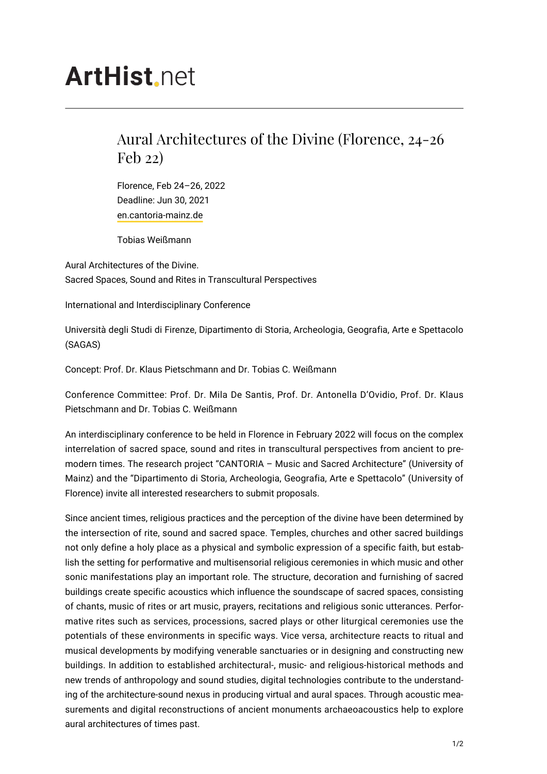## **ArtHist.net**

## Aural Architectures of the Divine (Florence, 24-26 Feb 22)

Florence, Feb 24–26, 2022 Deadline: Jun 30, 2021 [en.cantoria-mainz.de](https://en.cantoria-mainz.de)

Tobias Weißmann

Aural Architectures of the Divine. Sacred Spaces, Sound and Rites in Transcultural Perspectives

International and Interdisciplinary Conference

Università degli Studi di Firenze, Dipartimento di Storia, Archeologia, Geografia, Arte e Spettacolo (SAGAS)

Concept: Prof. Dr. Klaus Pietschmann and Dr. Tobias C. Weißmann

Conference Committee: Prof. Dr. Mila De Santis, Prof. Dr. Antonella D'Ovidio, Prof. Dr. Klaus Pietschmann and Dr. Tobias C. Weißmann

An interdisciplinary conference to be held in Florence in February 2022 will focus on the complex interrelation of sacred space, sound and rites in transcultural perspectives from ancient to premodern times. The research project "CANTORIA – Music and Sacred Architecture" (University of Mainz) and the "Dipartimento di Storia, Archeologia, Geografia, Arte e Spettacolo" (University of Florence) invite all interested researchers to submit proposals.

Since ancient times, religious practices and the perception of the divine have been determined by the intersection of rite, sound and sacred space. Temples, churches and other sacred buildings not only define a holy place as a physical and symbolic expression of a specific faith, but establish the setting for performative and multisensorial religious ceremonies in which music and other sonic manifestations play an important role. The structure, decoration and furnishing of sacred buildings create specific acoustics which influence the soundscape of sacred spaces, consisting of chants, music of rites or art music, prayers, recitations and religious sonic utterances. Performative rites such as services, processions, sacred plays or other liturgical ceremonies use the potentials of these environments in specific ways. Vice versa, architecture reacts to ritual and musical developments by modifying venerable sanctuaries or in designing and constructing new buildings. In addition to established architectural-, music- and religious-historical methods and new trends of anthropology and sound studies, digital technologies contribute to the understanding of the architecture-sound nexus in producing virtual and aural spaces. Through acoustic measurements and digital reconstructions of ancient monuments archaeoacoustics help to explore aural architectures of times past.